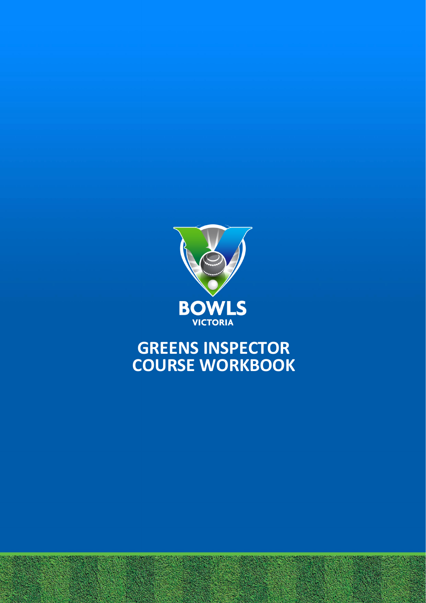

# **GREENS INSPECTOR COURSE WORKBOOK**

Greens Inspector Course Workbook | Revised February 2022 | Page 1 of 11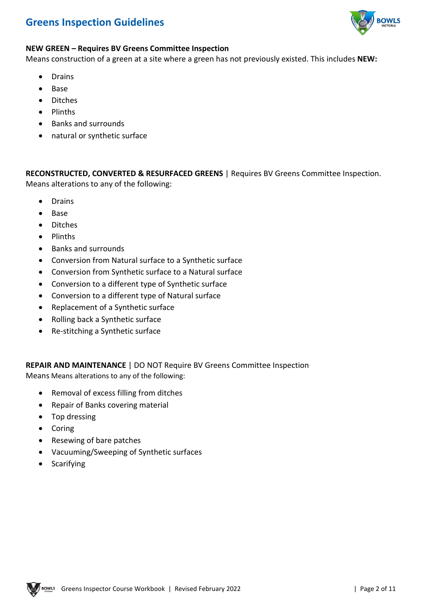

#### **NEW GREEN – Requires BV Greens Committee Inspection**

Means construction of a green at a site where a green has not previously existed. This includes **NEW:**

- Drains
- Base
- Ditches
- Plinths
- Banks and surrounds
- natural or synthetic surface

**RECONSTRUCTED, CONVERTED & RESURFACED GREENS** | Requires BV Greens Committee Inspection. Means alterations to any of the following:

- Drains
- Base
- Ditches
- Plinths
- Banks and surrounds
- Conversion from Natural surface to a Synthetic surface
- Conversion from Synthetic surface to a Natural surface
- Conversion to a different type of Synthetic surface
- Conversion to a different type of Natural surface
- Replacement of a Synthetic surface
- Rolling back a Synthetic surface
- Re-stitching a Synthetic surface

**REPAIR AND MAINTENANCE** | DO NOT Require BV Greens Committee Inspection Means Means alterations to any of the following:

- Removal of excess filling from ditches
- Repair of Banks covering material
- Top dressing
- Coring
- Resewing of bare patches
- Vacuuming/Sweeping of Synthetic surfaces
- Scarifying

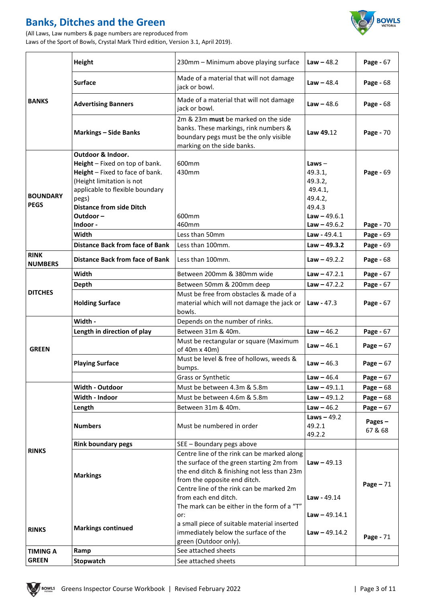# **Banks, Ditches and the Green**

(All Laws, Law numbers & page numbers are reproduced from Laws of the Sport of Bowls, Crystal Mark Third edition, Version 3.1, April 2019).



| <b>BANKS</b>                   | Height                                                                                                                            | 230mm - Minimum above playing surface                                                                                                                | <b>Law</b> $-48.2$                        | Page - 67         |
|--------------------------------|-----------------------------------------------------------------------------------------------------------------------------------|------------------------------------------------------------------------------------------------------------------------------------------------------|-------------------------------------------|-------------------|
|                                | <b>Surface</b>                                                                                                                    | Made of a material that will not damage<br>jack or bowl.                                                                                             | <b>Law</b> $-48.4$                        | Page - 68         |
|                                | <b>Advertising Banners</b>                                                                                                        | Made of a material that will not damage<br>jack or bowl.                                                                                             | <b>Law</b> $- 48.6$                       | Page - 68         |
|                                | <b>Markings - Side Banks</b>                                                                                                      | 2m & 23m must be marked on the side<br>banks. These markings, rink numbers &<br>boundary pegs must be the only visible<br>marking on the side banks. | Law 49.12                                 | Page - 70         |
| <b>BOUNDARY</b><br><b>PEGS</b> | Outdoor & Indoor.                                                                                                                 |                                                                                                                                                      |                                           |                   |
|                                | Height - Fixed on top of bank.<br>Height - Fixed to face of bank.<br>(Height limitation is not<br>applicable to flexible boundary | 600mm<br>430mm                                                                                                                                       | $Laws -$<br>49.3.1,<br>49.3.2,<br>49.4.1, | Page - 69         |
|                                | pegs)                                                                                                                             |                                                                                                                                                      | 49.4.2,                                   |                   |
|                                | <b>Distance from side Ditch</b>                                                                                                   |                                                                                                                                                      | 49.4.3                                    |                   |
|                                | Outdoor-                                                                                                                          | 600mm                                                                                                                                                | $Law - 49.6.1$                            |                   |
|                                | Indoor -                                                                                                                          | 460mm                                                                                                                                                | $Law - 49.6.2$                            | Page - 70         |
|                                | Width                                                                                                                             | Less than 50mm                                                                                                                                       | $Law - 49.4.1$                            | Page - 69         |
|                                | <b>Distance Back from face of Bank</b>                                                                                            | Less than 100mm.                                                                                                                                     | $Law - 49.3.2$                            | Page - 69         |
| <b>RINK</b>                    |                                                                                                                                   |                                                                                                                                                      |                                           |                   |
| <b>NUMBERS</b>                 | <b>Distance Back from face of Bank</b>                                                                                            | Less than 100mm.                                                                                                                                     | $Law - 49.2.2$                            | Page - 68         |
| <b>DITCHES</b>                 | Width                                                                                                                             | Between 200mm & 380mm wide                                                                                                                           | $Law - 47.2.1$                            | Page - 67         |
|                                | Depth                                                                                                                             | Between 50mm & 200mm deep                                                                                                                            | $Law - 47.2.2$                            | Page - 67         |
|                                | <b>Holding Surface</b>                                                                                                            | Must be free from obstacles & made of a<br>material which will not damage the jack or<br>bowls.                                                      | <b>Law</b> - 47.3                         | Page - 67         |
| <b>GREEN</b>                   | Width -                                                                                                                           | Depends on the number of rinks.                                                                                                                      |                                           |                   |
|                                | Length in direction of play                                                                                                       | Between 31m & 40m.                                                                                                                                   | $Law - 46.2$                              | Page - 67         |
|                                |                                                                                                                                   | Must be rectangular or square (Maximum<br>of 40m x 40m)                                                                                              | $Law - 46.1$                              | Page $-67$        |
|                                | <b>Playing Surface</b>                                                                                                            | Must be level & free of hollows, weeds &<br>bumps.                                                                                                   | <b>Law</b> $- 46.3$                       | Page $-67$        |
|                                |                                                                                                                                   | Grass or Synthetic                                                                                                                                   | $Law - 46.4$                              | Page $-67$        |
| <b>RINKS</b><br><b>RINKS</b>   | <b>Width - Outdoor</b>                                                                                                            | Must be between 4.3m & 5.8m                                                                                                                          | $Law - 49.1.1$                            | Page $-68$        |
|                                | Width - Indoor                                                                                                                    | Must be between 4.6m & 5.8m                                                                                                                          | $Law - 49.1.2$                            | Page $-68$        |
|                                | Length                                                                                                                            | Between 31m & 40m.                                                                                                                                   | $Law - 46.2$                              | Page $-67$        |
|                                | <b>Numbers</b>                                                                                                                    | Must be numbered in order                                                                                                                            | Laws $-49.2$<br>49.2.1<br>49.2.2          | Pages-<br>67 & 68 |
|                                | <b>Rink boundary pegs</b>                                                                                                         | SEE - Boundary pegs above                                                                                                                            |                                           |                   |
|                                | <b>Markings</b>                                                                                                                   | Centre line of the rink can be marked along<br>the surface of the green starting 2m from<br>the end ditch & finishing not less than 23m              | <b>Law</b> $-49.13$                       |                   |
|                                |                                                                                                                                   | from the opposite end ditch.<br>Centre line of the rink can be marked 2m<br>from each end ditch.<br>The mark can be either in the form of a "T"      | Law - 49.14                               | Page $-71$        |
|                                |                                                                                                                                   | or:                                                                                                                                                  | $Law - 49.14.1$                           |                   |
|                                | <b>Markings continued</b>                                                                                                         | a small piece of suitable material inserted<br>immediately below the surface of the<br>green (Outdoor only).                                         | <b>Law</b> $-$ 49.14.2                    | Page - 71         |
| <b>TIMING A</b>                | Ramp                                                                                                                              | See attached sheets                                                                                                                                  |                                           |                   |
| <b>GREEN</b>                   | Stopwatch                                                                                                                         | See attached sheets                                                                                                                                  |                                           |                   |

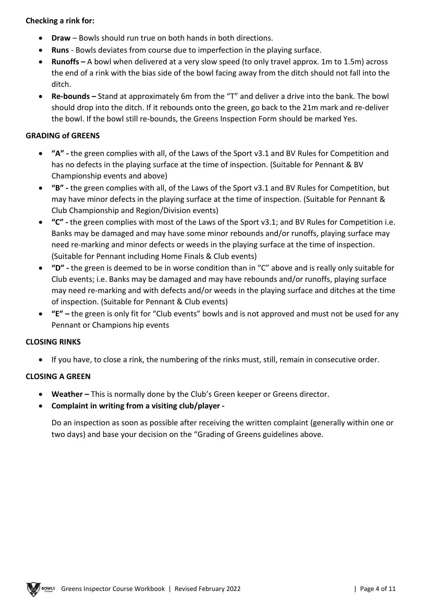#### **Checking a rink for:**

- **Draw** Bowls should run true on both hands in both directions.
- **Runs** Bowls deviates from course due to imperfection in the playing surface.
- **Runoffs –** A bowl when delivered at a very slow speed (to only travel approx. 1m to 1.5m) across the end of a rink with the bias side of the bowl facing away from the ditch should not fall into the ditch.
- **Re-bounds –** Stand at approximately 6m from the "T" and deliver a drive into the bank. The bowl should drop into the ditch. If it rebounds onto the green, go back to the 21m mark and re-deliver the bowl. If the bowl still re-bounds, the Greens Inspection Form should be marked Yes.

#### **GRADING of GREENS**

- **"A" -** the green complies with all, of the Laws of the Sport v3.1 and BV Rules for Competition and has no defects in the playing surface at the time of inspection. (Suitable for Pennant & BV Championship events and above)
- **"B" -** the green complies with all, of the Laws of the Sport v3.1 and BV Rules for Competition, but may have minor defects in the playing surface at the time of inspection. (Suitable for Pennant & Club Championship and Region/Division events)
- **"C" -** the green complies with most of the Laws of the Sport v3.1; and BV Rules for Competition i.e. Banks may be damaged and may have some minor rebounds and/or runoffs, playing surface may need re-marking and minor defects or weeds in the playing surface at the time of inspection. (Suitable for Pennant including Home Finals & Club events)
- **"D" -** the green is deemed to be in worse condition than in "C" above and is really only suitable for Club events; i.e. Banks may be damaged and may have rebounds and/or runoffs, playing surface may need re-marking and with defects and/or weeds in the playing surface and ditches at the time of inspection. (Suitable for Pennant & Club events)
- **"E" –** the green is only fit for "Club events" bowls and is not approved and must not be used for any Pennant or Champions hip events

#### **CLOSING RINKS**

• If you have, to close a rink, the numbering of the rinks must, still, remain in consecutive order.

#### **CLOSING A GREEN**

- **Weather –** This is normally done by the Club's Green keeper or Greens director.
- **Complaint in writing from a visiting club/player -**

Do an inspection as soon as possible after receiving the written complaint (generally within one or two days) and base your decision on the "Grading of Greens guidelines above.

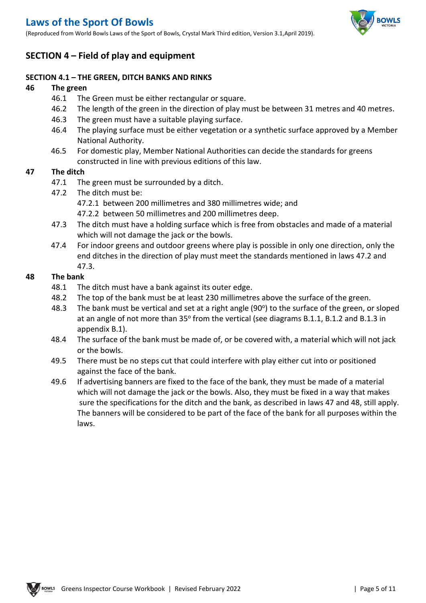# **Laws of the Sport Of Bowls**

(Reproduced from World Bowls Laws of the Sport of Bowls, Crystal Mark Third edition, Version 3.1,April 2019).



### **SECTION 4 – Field of play and equipment**

#### **SECTION 4.1 – THE GREEN, DITCH BANKS AND RINKS**

#### **46 The green**

- 46.1 The Green must be either rectangular or square.
- 46.2 The length of the green in the direction of play must be between 31 metres and 40 metres.
- 46.3 The green must have a suitable playing surface.
- 46.4 The playing surface must be either vegetation or a synthetic surface approved by a Member National Authority.
- 46.5 For domestic play, Member National Authorities can decide the standards for greens constructed in line with previous editions of this law.

#### **47 The ditch**

- 47.1 The green must be surrounded by a ditch.
- 47.2 The ditch must be:
	- 47.2.1 between 200 millimetres and 380 millimetres wide; and
	- 47.2.2 between 50 millimetres and 200 millimetres deep.
- 47.3 The ditch must have a holding surface which is free from obstacles and made of a material which will not damage the jack or the bowls.
- 47.4 For indoor greens and outdoor greens where play is possible in only one direction, only the end ditches in the direction of play must meet the standards mentioned in laws 47.2 and 47.3.

#### **48 The bank**

- 48.1 The ditch must have a bank against its outer edge.
- 48.2 The top of the bank must be at least 230 millimetres above the surface of the green.
- 48.3 The bank must be vertical and set at a right angle (90 $^{\circ}$ ) to the surface of the green, or sloped at an angle of not more than  $35^{\circ}$  from the vertical (see diagrams B.1.1, B.1.2 and B.1.3 in appendix B.1).
- 48.4 The surface of the bank must be made of, or be covered with, a material which will not jack or the bowls.
- 49.5 There must be no steps cut that could interfere with play either cut into or positioned against the face of the bank.
- 49.6 If advertising banners are fixed to the face of the bank, they must be made of a material which will not damage the jack or the bowls. Also, they must be fixed in a way that makes sure the specifications for the ditch and the bank, as described in laws 47 and 48, still apply. The banners will be considered to be part of the face of the bank for all purposes within the laws.

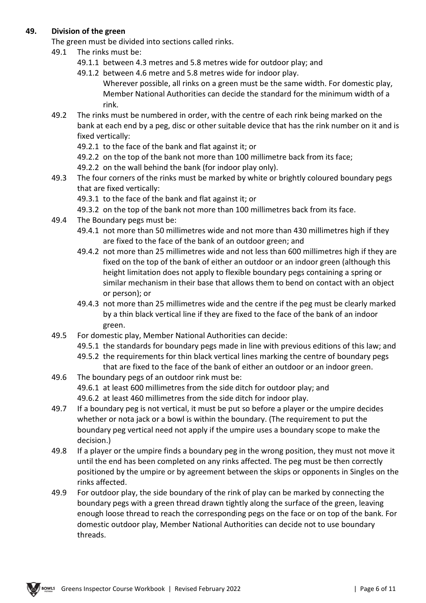#### **49. Division of the green**

The green must be divided into sections called rinks.

- 49.1 The rinks must be:
	- 49.1.1 between 4.3 metres and 5.8 metres wide for outdoor play; and
	- 49.1.2 between 4.6 metre and 5.8 metres wide for indoor play.

Wherever possible, all rinks on a green must be the same width. For domestic play, Member National Authorities can decide the standard for the minimum width of a rink.

- 49.2 The rinks must be numbered in order, with the centre of each rink being marked on the bank at each end by a peg, disc or other suitable device that has the rink number on it and is fixed vertically:
	- 49.2.1 to the face of the bank and flat against it; or
	- 49.2.2 on the top of the bank not more than 100 millimetre back from its face;
	- 49.2.2 on the wall behind the bank (for indoor play only).
- 49.3 The four corners of the rinks must be marked by white or brightly coloured boundary pegs that are fixed vertically:
	- 49.3.1 to the face of the bank and flat against it; or
	- 49.3.2 on the top of the bank not more than 100 millimetres back from its face.
- 49.4 The Boundary pegs must be:
	- 49.4.1 not more than 50 millimetres wide and not more than 430 millimetres high if they are fixed to the face of the bank of an outdoor green; and
	- 49.4.2 not more than 25 millimetres wide and not less than 600 millimetres high if they are fixed on the top of the bank of either an outdoor or an indoor green (although this height limitation does not apply to flexible boundary pegs containing a spring or similar mechanism in their base that allows them to bend on contact with an object or person); or
	- 49.4.3 not more than 25 millimetres wide and the centre if the peg must be clearly marked by a thin black vertical line if they are fixed to the face of the bank of an indoor green.
- 49.5 For domestic play, Member National Authorities can decide:
	- 49.5.1 the standards for boundary pegs made in line with previous editions of this law; and
	- 49.5.2 the requirements for thin black vertical lines marking the centre of boundary pegs that are fixed to the face of the bank of either an outdoor or an indoor green.
- 49.6 The boundary pegs of an outdoor rink must be: 49.6.1 at least 600 millimetres from the side ditch for outdoor play; and 49.6.2 at least 460 millimetres from the side ditch for indoor play.
- 49.7 If a boundary peg is not vertical, it must be put so before a player or the umpire decides whether or nota jack or a bowl is within the boundary. (The requirement to put the boundary peg vertical need not apply if the umpire uses a boundary scope to make the decision.)
- 49.8 If a player or the umpire finds a boundary peg in the wrong position, they must not move it until the end has been completed on any rinks affected. The peg must be then correctly positioned by the umpire or by agreement between the skips or opponents in Singles on the rinks affected.
- 49.9 For outdoor play, the side boundary of the rink of play can be marked by connecting the boundary pegs with a green thread drawn tightly along the surface of the green, leaving enough loose thread to reach the corresponding pegs on the face or on top of the bank. For domestic outdoor play, Member National Authorities can decide not to use boundary threads.

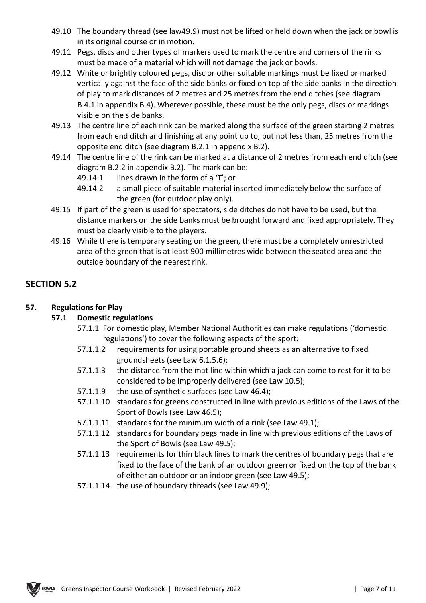- 49.10 The boundary thread (see law49.9) must not be lifted or held down when the jack or bowl is in its original course or in motion.
- 49.11 Pegs, discs and other types of markers used to mark the centre and corners of the rinks must be made of a material which will not damage the jack or bowls.
- 49.12 White or brightly coloured pegs, disc or other suitable markings must be fixed or marked vertically against the face of the side banks or fixed on top of the side banks in the direction of play to mark distances of 2 metres and 25 metres from the end ditches (see diagram B.4.1 in appendix B.4). Wherever possible, these must be the only pegs, discs or markings visible on the side banks.
- 49.13 The centre line of each rink can be marked along the surface of the green starting 2 metres from each end ditch and finishing at any point up to, but not less than, 25 metres from the opposite end ditch (see diagram B.2.1 in appendix B.2).
- 49.14 The centre line of the rink can be marked at a distance of 2 metres from each end ditch (see diagram B.2.2 in appendix B.2). The mark can be:
	- 49.14.1 lines drawn in the form of a 'T'; or
	- 49.14.2 a small piece of suitable material inserted immediately below the surface of the green (for outdoor play only).
- 49.15 If part of the green is used for spectators, side ditches do not have to be used, but the distance markers on the side banks must be brought forward and fixed appropriately. They must be clearly visible to the players.
- 49.16 While there is temporary seating on the green, there must be a completely unrestricted area of the green that is at least 900 millimetres wide between the seated area and the outside boundary of the nearest rink.

## **SECTION 5.2**

### **57. Regulations for Play**

### **57.1 Domestic regulations**

- 57.1.1 For domestic play, Member National Authorities can make regulations ('domestic regulations') to cover the following aspects of the sport:
- 57.1.1.2 requirements for using portable ground sheets as an alternative to fixed groundsheets (see Law 6.1.5.6);
- 57.1.1.3 the distance from the mat line within which a jack can come to rest for it to be considered to be improperly delivered (see Law 10.5);
- 57.1.1.9 the use of synthetic surfaces (see Law 46.4);
- 57.1.1.10 standards for greens constructed in line with previous editions of the Laws of the Sport of Bowls (see Law 46.5);
- 57.1.1.11 standards for the minimum width of a rink (see Law 49.1);
- 57.1.1.12 standards for boundary pegs made in line with previous editions of the Laws of the Sport of Bowls (see Law 49.5);
- 57.1.1.13 requirements for thin black lines to mark the centres of boundary pegs that are fixed to the face of the bank of an outdoor green or fixed on the top of the bank of either an outdoor or an indoor green (see Law 49.5);
- 57.1.1.14 the use of boundary threads (see Law 49.9);

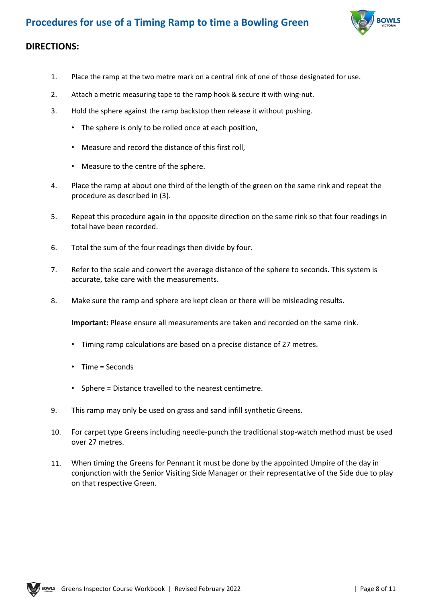

### **DIRECTIONS:**

- 1. Place the ramp at the two metre mark on a central rink of one of those designated for use.
- 2. Attach a metric measuring tape to the ramp hook & secure it with wing-nut.
- 3. Hold the sphere against the ramp backstop then release it without pushing.
	- The sphere is only to be rolled once at each position,
	- Measure and record the distance of this first roll,
	- Measure to the centre of the sphere.
- 4. Place the ramp at about one third of the length of the green on the same rink and repeat the procedure as described in (3).
- 5. Repeat this procedure again in the opposite direction on the same rink so that four readings in total have been recorded.
- 6. Total the sum of the four readings then divide by four.
- 7. Refer to the scale and convert the average distance of the sphere to seconds. This system is accurate, take care with the measurements.
- 8. Make sure the ramp and sphere are kept clean or there will be misleading results.

**Important:** Please ensure all measurements are taken and recorded on the same rink.

- Timing ramp calculations are based on a precise distance of 27 metres.
- Time = Seconds
- Sphere = Distance travelled to the nearest centimetre.
- 9. This ramp may only be used on grass and sand infill synthetic Greens.
- 10. For carpet type Greens including needle-punch the traditional stop-watch method must be used over 27 metres.
- 11. When timing the Greens for Pennant it must be done by the appointed Umpire of the day in conjunction with the Senior Visiting Side Manager or their representative of the Side due to play on that respective Green.

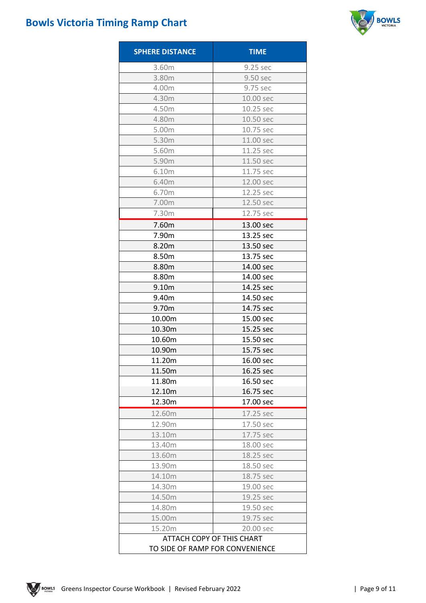# **Bowls Victoria Timing Ramp Chart**



| <b>SPHERE DISTANCE</b>                                       | <b>TIME</b> |  |  |
|--------------------------------------------------------------|-------------|--|--|
| 3.60m                                                        | 9.25 sec    |  |  |
| 3.80m                                                        | 9.50 sec    |  |  |
| 4.00m                                                        | 9.75 sec    |  |  |
| 4.30m                                                        | 10.00 sec   |  |  |
| 4.50m                                                        | 10.25 sec   |  |  |
| 4.80m                                                        | 10.50 sec   |  |  |
| 5.00m                                                        | 10.75 sec   |  |  |
| 5.30m                                                        | 11.00 sec   |  |  |
| 5.60m                                                        | 11.25 sec   |  |  |
| 5.90m                                                        | 11.50 sec   |  |  |
| 6.10m                                                        | 11.75 sec   |  |  |
| 6.40m                                                        | 12.00 sec   |  |  |
| 6.70m                                                        | 12.25 sec   |  |  |
| 7.00m                                                        | 12.50 sec   |  |  |
| 7.30m                                                        | 12.75 sec   |  |  |
| 7.60m                                                        | 13.00 sec   |  |  |
| 7.90m                                                        | 13.25 sec   |  |  |
| 8.20m                                                        | 13.50 sec   |  |  |
| 8.50m                                                        | 13.75 sec   |  |  |
| 8.80m                                                        | 14.00 sec   |  |  |
| 8.80m                                                        | 14.00 sec   |  |  |
| 9.10m                                                        | 14.25 sec   |  |  |
| 9.40m                                                        | 14.50 sec   |  |  |
| 9.70m                                                        | 14.75 sec   |  |  |
| 10.00m                                                       | 15.00 sec   |  |  |
| 10.30m                                                       | 15.25 sec   |  |  |
| 10.60m                                                       | 15.50 sec   |  |  |
| 10.90m                                                       | 15.75 sec   |  |  |
| 11.20m                                                       | 16.00 sec   |  |  |
| 11.50m                                                       | 16.25 sec   |  |  |
| 11.80m                                                       | 16.50 sec   |  |  |
| 12.10m                                                       | 16.75 sec   |  |  |
| 12.30m                                                       | 17.00 sec   |  |  |
| 12.60m                                                       | 17.25 sec   |  |  |
| 12.90m                                                       | 17.50 sec   |  |  |
| 13.10m                                                       | 17.75 sec   |  |  |
| 13.40m                                                       | 18.00 sec   |  |  |
| 13.60m                                                       | 18.25 sec   |  |  |
| 13.90m                                                       | 18.50 sec   |  |  |
| 14.10m                                                       | 18.75 sec   |  |  |
| 14.30m                                                       | 19.00 sec   |  |  |
| 14.50m                                                       | 19.25 sec   |  |  |
| 14.80m                                                       | 19.50 sec   |  |  |
| 15.00m                                                       | 19.75 sec   |  |  |
| 15.20m                                                       | 20.00 sec   |  |  |
| ATTACH COPY OF THIS CHART<br>TO SIDE OF RAMP FOR CONVENIENCE |             |  |  |

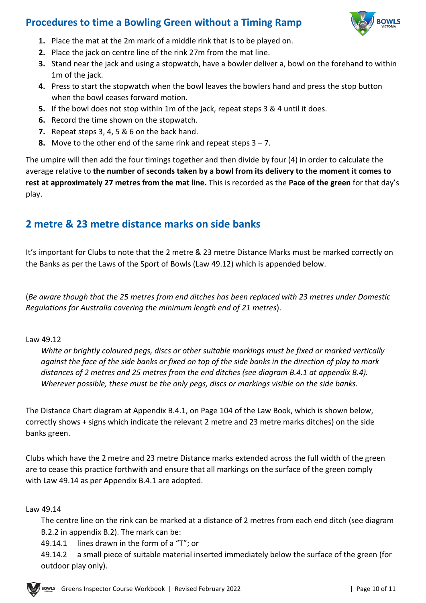# **Procedures to time a Bowling Green without a Timing Ramp**



- **1.** Place the mat at the 2m mark of a middle rink that is to be played on.
- **2.** Place the jack on centre line of the rink 27m from the mat line.
- **3.** Stand near the jack and using a stopwatch, have a bowler deliver a, bowl on the forehand to within 1m of the jack.
- **4.** Press to start the stopwatch when the bowl leaves the bowlers hand and press the stop button when the bowl ceases forward motion.
- **5.** If the bowl does not stop within 1m of the jack, repeat steps 3 & 4 until it does.
- **6.** Record the time shown on the stopwatch.
- **7.** Repeat steps 3, 4, 5 & 6 on the back hand.
- **8.** Move to the other end of the same rink and repeat steps 3 7.

The umpire will then add the four timings together and then divide by four (4) in order to calculate the average relative to **the number of seconds taken by a bowl from its delivery to the moment it comes to rest at approximately 27 metres from the mat line.** This is recorded as the **Pace of the green** for that day's play.

# **2 metre & 23 metre distance marks on side banks**

It's important for Clubs to note that the 2 metre & 23 metre Distance Marks must be marked correctly on the Banks as per the Laws of the Sport of Bowls (Law 49.12) which is appended below.

(*Be aware though that the 25 metres from end ditches has been replaced with 23 metres under Domestic Regulations for Australia covering the minimum length end of 21 metres*).

#### Law 49.12

*White or brightly coloured pegs, discs or other suitable markings must be fixed or marked vertically against the face of the side banks or fixed on top of the side banks in the direction of play to mark distances of 2 metres and 25 metres from the end ditches (see diagram B.4.1 at appendix B.4). Wherever possible, these must be the only pegs, discs or markings visible on the side banks.* 

The Distance Chart diagram at Appendix B.4.1, on Page 104 of the Law Book, which is shown below, correctly shows + signs which indicate the relevant 2 metre and 23 metre marks ditches) on the side banks green.

Clubs which have the 2 metre and 23 metre Distance marks extended across the full width of the green are to cease this practice forthwith and ensure that all markings on the surface of the green comply with Law 49.14 as per Appendix B.4.1 are adopted.

#### Law 49.14

The centre line on the rink can be marked at a distance of 2 metres from each end ditch (see diagram B.2.2 in appendix B.2). The mark can be:

49.14.1 lines drawn in the form of a "T"; or

49.14.2 a small piece of suitable material inserted immediately below the surface of the green (for outdoor play only).